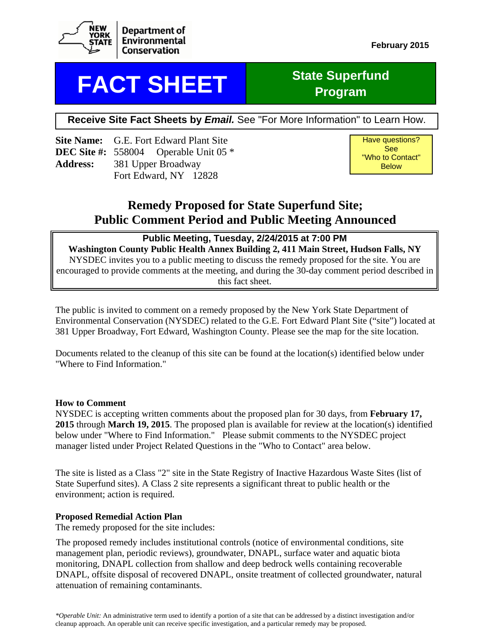

## **FACT SHEET** State Superfund

# **Program**

**Receive Site Fact Sheets by** *Email.* See "For More Information" to Learn How.

**Site Name:** G.E. Fort Edward Plant Site **DEC Site #:** 558004 Operable Unit 05 \* **Address:** 381 Upper Broadway Fort Edward, NY 12828

Have questions? See "Who to Contact" Below

## **Remedy Proposed for State Superfund Site; Public Comment Period and Public Meeting Announced**

#### **Public Meeting, Tuesday, 2/24/2015 at 7:00 PM**

**Washington County Public Health Annex Building 2, 411 Main Street, Hudson Falls, NY** NYSDEC invites you to a public meeting to discuss the remedy proposed for the site. You are encouraged to provide comments at the meeting, and during the 30-day comment period described in this fact sheet.

The public is invited to comment on a remedy proposed by the New York State Department of Environmental Conservation (NYSDEC) related to the G.E. Fort Edward Plant Site ("site") located at 381 Upper Broadway, Fort Edward, Washington County. Please see the map for the site location.

Documents related to the cleanup of this site can be found at the location(s) identified below under "Where to Find Information."

#### **How to Comment**

NYSDEC is accepting written comments about the proposed plan for 30 days, from **February 17, 2015** through **March 19, 2015**. The proposed plan is available for review at the location(s) identified below under "Where to Find Information." Please submit comments to the NYSDEC project manager listed under Project Related Questions in the "Who to Contact" area below.

The site is listed as a Class "2" site in the State Registry of Inactive Hazardous Waste Sites (list of State Superfund sites). A Class 2 site represents a significant threat to public health or the environment; action is required.

#### **Proposed Remedial Action Plan**

The remedy proposed for the site includes:

The proposed remedy includes institutional controls (notice of environmental conditions, site management plan, periodic reviews), groundwater, DNAPL, surface water and aquatic biota monitoring, DNAPL collection from shallow and deep bedrock wells containing recoverable DNAPL, offsite disposal of recovered DNAPL, onsite treatment of collected groundwater, natural attenuation of remaining contaminants.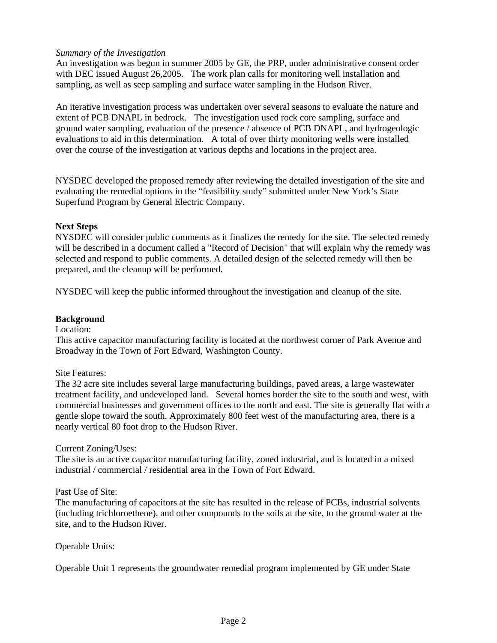#### *Summary of the Investigation*

An investigation was begun in summer 2005 by GE, the PRP, under administrative consent order with DEC issued August 26,2005. The work plan calls for monitoring well installation and sampling, as well as seep sampling and surface water sampling in the Hudson River.

An iterative investigation process was undertaken over several seasons to evaluate the nature and extent of PCB DNAPL in bedrock. The investigation used rock core sampling, surface and ground water sampling, evaluation of the presence / absence of PCB DNAPL, and hydrogeologic evaluations to aid in this determination. A total of over thirty monitoring wells were installed over the course of the investigation at various depths and locations in the project area.

NYSDEC developed the proposed remedy after reviewing the detailed investigation of the site and evaluating the remedial options in the "feasibility study" submitted under New York's State Superfund Program by General Electric Company.

#### **Next Steps**

NYSDEC will consider public comments as it finalizes the remedy for the site. The selected remedy will be described in a document called a "Record of Decision" that will explain why the remedy was selected and respond to public comments. A detailed design of the selected remedy will then be prepared, and the cleanup will be performed.

NYSDEC will keep the public informed throughout the investigation and cleanup of the site.

#### **Background**

#### Location:

This active capacitor manufacturing facility is located at the northwest corner of Park Avenue and Broadway in the Town of Fort Edward, Washington County.

#### Site Features:

The 32 acre site includes several large manufacturing buildings, paved areas, a large wastewater treatment facility, and undeveloped land. Several homes border the site to the south and west, with commercial businesses and government offices to the north and east. The site is generally flat with a gentle slope toward the south. Approximately 800 feet west of the manufacturing area, there is a nearly vertical 80 foot drop to the Hudson River.

#### Current Zoning/Uses:

The site is an active capacitor manufacturing facility, zoned industrial, and is located in a mixed industrial / commercial / residential area in the Town of Fort Edward.

#### Past Use of Site:

The manufacturing of capacitors at the site has resulted in the release of PCBs, industrial solvents (including trichloroethene), and other compounds to the soils at the site, to the ground water at the site, and to the Hudson River.

#### Operable Units:

Operable Unit 1 represents the groundwater remedial program implemented by GE under State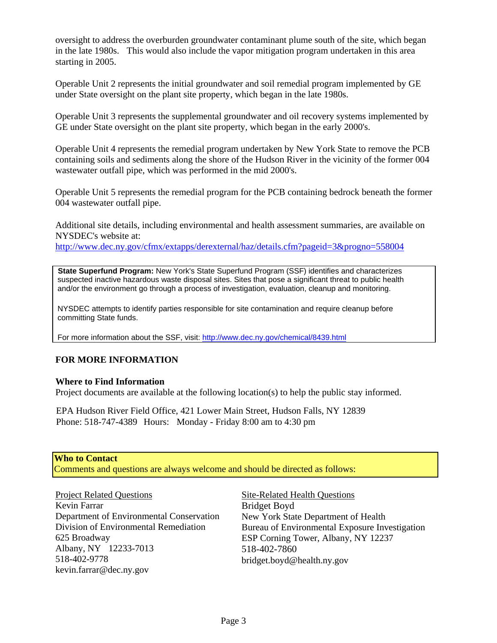oversight to address the overburden groundwater contaminant plume south of the site, which began in the late 1980s. This would also include the vapor mitigation program undertaken in this area starting in 2005.

Operable Unit 2 represents the initial groundwater and soil remedial program implemented by GE under State oversight on the plant site property, which began in the late 1980s.

Operable Unit 3 represents the supplemental groundwater and oil recovery systems implemented by GE under State oversight on the plant site property, which began in the early 2000's.

Operable Unit 4 represents the remedial program undertaken by New York State to remove the PCB containing soils and sediments along the shore of the Hudson River in the vicinity of the former 004 wastewater outfall pipe, which was performed in the mid 2000's.

Operable Unit 5 represents the remedial program for the PCB containing bedrock beneath the former 004 wastewater outfall pipe.

Additional site details, including environmental and health assessment summaries, are available on NYSDEC's website at:

http://www.dec.ny.gov/cfmx/extapps/derexternal/haz/details.cfm?pageid=3&progno=558004

 **State Superfund Program:** New York's State Superfund Program (SSF) identifies and characterizes suspected inactive hazardous waste disposal sites. Sites that pose a significant threat to public health and/or the environment go through a process of investigation, evaluation, cleanup and monitoring.

 NYSDEC attempts to identify parties responsible for site contamination and require cleanup before committing State funds.

For more information about the SSF, visit: http://www.dec.ny.gov/chemical/8439.html

#### **FOR MORE INFORMATION**

#### **Where to Find Information**

Project documents are available at the following location(s) to help the public stay informed.

EPA Hudson River Field Office, 421 Lower Main Street, Hudson Falls, NY 12839 Phone: 518-747-4389 Hours: Monday - Friday 8:00 am to 4:30 pm

#### **Who to Contact**

Comments and questions are always welcome and should be directed as follows:

Project Related Questions Kevin Farrar Department of Environmental Conservation Division of Environmental Remediation 625 Broadway Albany, NY 12233-7013 518-402-9778 kevin.farrar@dec.ny.gov

Site-Related Health Questions Bridget Boyd New York State Department of Health Bureau of Environmental Exposure Investigation ESP Corning Tower, Albany, NY 12237 518-402-7860 bridget.boyd@health.ny.gov